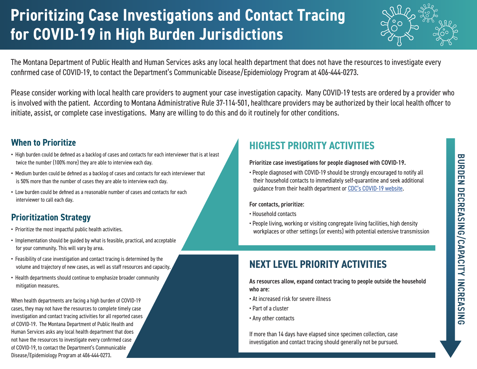# **Prioritizing Case Investigations and Contact Tracing for COVID-19 in High Burden Jurisdictions**

The Montana Department of Public Health and Human Services asks any local health department that does not have the resources to investigate every confirmed case of COVID-19, to contact the Department's Communicable Disease/Epidemiology Program at 406-444-0273.

Please consider working with local health care providers to augment your case investigation capacity. Many COVID-19 tests are ordered by a provider who is involved with the patient. According to Montana Administrative Rule 37-114-501, healthcare providers may be authorized by their local health officer to initiate, assist, or complete case investigations. Many are willing to do this and do it routinely for other conditions.

### **When to Prioritize**

- **•** High burden could be defined as a backlog of cases and contacts for each interviewer that is at least twice the number (100% more) they are able to interview each day.
- **•** Medium burden could be defined as a backlog of cases and contacts for each interviewer that is 50% more than the number of cases they are able to interview each day.
- **•** Low burden could be defined as a reasonable number of cases and contacts for each interviewer to call each day.

### **Prioritization Strategy**

- **•** Prioritize the most impactful public health activities.
- **•** Implementation should be guided by what is feasible, practical, and acceptable for your community. This will vary by area.
- **•** Feasibility of case investigation and contact tracing is determined by the volume and trajectory of new cases, as well as staff resources and capacity.
- **•** Health departments should continue to emphasize broader community mitigation measures.

When health departments are facing a high burden of COVID-19 cases, they may not have the resources to complete timely case investigation and contact tracing activities for all reported cases of COVID-19. The Montana Department of Public Health and Human Services asks any local health department that does not have the resources to investigate every confirmed case of COVID-19, to contact the Department's Communicable Disease/Epidemiology Program at 406-444-0273.

## **HIGHEST PRIORITY ACTIVITIES**

#### Prioritize case investigations for people diagnosed with COVID-19.

• People diagnosed with COVID-19 should be strongly encouraged to notify all their household contacts to immediately self-quarantine and seek additional quidance from their health department or CDC's COVID-19 website.

#### For contacts, prioritize:

- Household contacts
- People living, working or visiting congregate living facilities, high density workplaces or other settings (or events) with potential extensive transmission

## **NEXT LEVEL PRIORITY ACTIVITIES**

As resources allow, expand contact tracing to people outside the household who are:

- At increased risk for severe illness
- Part of a cluster
- Any other contacts

If more than 14 days have elapsed since specimen collection, case investigation and contact tracing should generally not be pursued.